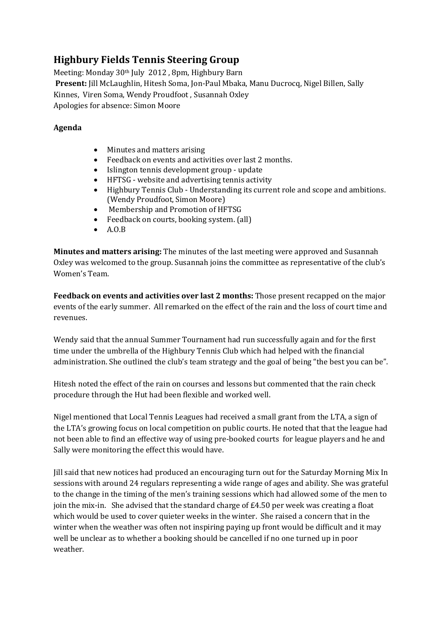# **Highbury Fields Tennis Steering Group**

Meeting: Monday 30<sup>th</sup> July 2012, 8pm, Highbury Barn **Present:** Jill McLaughlin, Hitesh Soma, Jon-Paul Mbaka, Manu Ducrocq, Nigel Billen, Sally Kinnes, Viren Soma, Wendy Proudfoot , Susannah Oxley Apologies for absence: Simon Moore

### **Agenda**

- Minutes and matters arising
- Feedback on events and activities over last 2 months.
- Islington tennis development group update
- HFTSG website and advertising tennis activity
- Highbury Tennis Club Understanding its current role and scope and ambitions. (Wendy Proudfoot, Simon Moore)
- Membership and Promotion of HFTSG
- Feedback on courts, booking system. (all)
- A.O.B

**Minutes and matters arising:** The minutes of the last meeting were approved and Susannah Oxley was welcomed to the group. Susannah joins the committee as representative of the club's Women's Team.

**Feedback on events and activities over last 2 months:** Those present recapped on the major events of the early summer. All remarked on the effect of the rain and the loss of court time and revenues.

Wendy said that the annual Summer Tournament had run successfully again and for the first time under the umbrella of the Highbury Tennis Club which had helped with the financial administration. She outlined the club's team strategy and the goal of being "the best you can be".

Hitesh noted the effect of the rain on courses and lessons but commented that the rain check procedure through the Hut had been flexible and worked well.

Nigel mentioned that Local Tennis Leagues had received a small grant from the LTA, a sign of the LTA's growing focus on local competition on public courts. He noted that that the league had not been able to find an effective way of using pre-booked courts for league players and he and Sally were monitoring the effect this would have.

Jill said that new notices had produced an encouraging turn out for the Saturday Morning Mix In sessions with around 24 regulars representing a wide range of ages and ability. She was grateful to the change in the timing of the men's training sessions which had allowed some of the men to join the mix-in. She advised that the standard charge of £4.50 per week was creating a float which would be used to cover quieter weeks in the winter. She raised a concern that in the winter when the weather was often not inspiring paying up front would be difficult and it may well be unclear as to whether a booking should be cancelled if no one turned up in poor weather.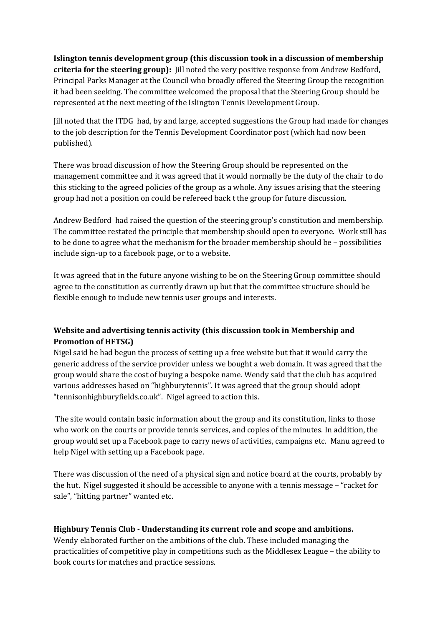**Islington tennis development group (this discussion took in a discussion of membership criteria for the steering group):** Jill noted the very positive response from Andrew Bedford, Principal Parks Manager at the Council who broadly offered the Steering Group the recognition it had been seeking. The committee welcomed the proposal that the Steering Group should be represented at the next meeting of the Islington Tennis Development Group.

Jill noted that the ITDG had, by and large, accepted suggestions the Group had made for changes to the job description for the Tennis Development Coordinator post (which had now been published).

There was broad discussion of how the Steering Group should be represented on the management committee and it was agreed that it would normally be the duty of the chair to do this sticking to the agreed policies of the group as a whole. Any issues arising that the steering group had not a position on could be refereed back t the group for future discussion.

Andrew Bedford had raised the question of the steering group's constitution and membership. The committee restated the principle that membership should open to everyone. Work still has to be done to agree what the mechanism for the broader membership should be – possibilities include sign-up to a facebook page, or to a website.

It was agreed that in the future anyone wishing to be on the Steering Group committee should agree to the constitution as currently drawn up but that the committee structure should be flexible enough to include new tennis user groups and interests.

## **Website and advertising tennis activity (this discussion took in Membership and Promotion of HFTSG)**

Nigel said he had begun the process of setting up a free website but that it would carry the generic address of the service provider unless we bought a web domain. It was agreed that the group would share the cost of buying a bespoke name. Wendy said that the club has acquired various addresses based on "highburytennis". It was agreed that the group should adopt "tennisonhighburyfields.co.uk". Nigel agreed to action this.

The site would contain basic information about the group and its constitution, links to those who work on the courts or provide tennis services, and copies of the minutes. In addition, the group would set up a Facebook page to carry news of activities, campaigns etc. Manu agreed to help Nigel with setting up a Facebook page.

There was discussion of the need of a physical sign and notice board at the courts, probably by the hut. Nigel suggested it should be accessible to anyone with a tennis message – "racket for sale", "hitting partner" wanted etc.

## **Highbury Tennis Club - Understanding its current role and scope and ambitions.**

Wendy elaborated further on the ambitions of the club. These included managing the practicalities of competitive play in competitions such as the Middlesex League – the ability to book courts for matches and practice sessions.